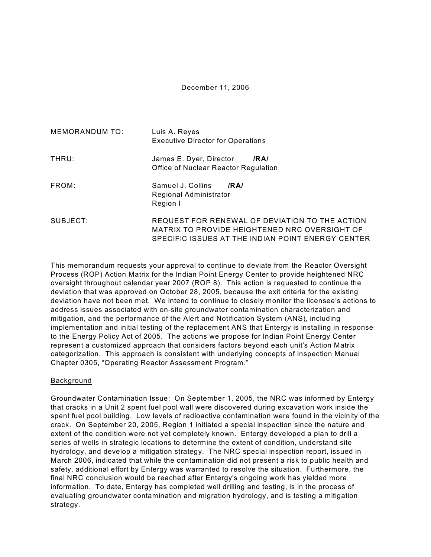## December 11, 2006

| <b>MEMORANDUM TO:</b> | Luis A. Reyes<br><b>Executive Director for Operations</b>                                                                                            |  |  |  |  |  |
|-----------------------|------------------------------------------------------------------------------------------------------------------------------------------------------|--|--|--|--|--|
| THRU:                 | James E. Dyer, Director<br>/RA/<br>Office of Nuclear Reactor Regulation                                                                              |  |  |  |  |  |
| FROM:                 | Samuel J. Collins<br>IRAI<br>Regional Administrator<br>Region I                                                                                      |  |  |  |  |  |
| SUBJECT:              | REQUEST FOR RENEWAL OF DEVIATION TO THE ACTION<br>MATRIX TO PROVIDE HEIGHTENED NRC OVERSIGHT OF<br>SPECIFIC ISSUES AT THE INDIAN POINT ENERGY CENTER |  |  |  |  |  |

This memorandum requests your approval to continue to deviate from the Reactor Oversight Process (ROP) Action Matrix for the Indian Point Energy Center to provide heightened NRC oversight throughout calendar year 2007 (ROP 8). This action is requested to continue the deviation that was approved on October 28, 2005, because the exit criteria for the existing deviation have not been met. We intend to continue to closely monitor the licensee's actions to address issues associated with on-site groundwater contamination characterization and mitigation, and the performance of the Alert and Notification System (ANS), including implementation and initial testing of the replacement ANS that Entergy is installing in response to the Energy Policy Act of 2005. The actions we propose for Indian Point Energy Center represent a customized approach that considers factors beyond each unit's Action Matrix categorization. This approach is consistent with underlying concepts of Inspection Manual Chapter 0305, "Operating Reactor Assessment Program."

#### Background

Groundwater Contamination Issue: On September 1, 2005, the NRC was informed by Entergy that cracks in a Unit 2 spent fuel pool wall were discovered during excavation work inside the spent fuel pool building. Low levels of radioactive contamination were found in the vicinity of the crack. On September 20, 2005, Region 1 initiated a special inspection since the nature and extent of the condition were not yet completely known. Entergy developed a plan to drill a series of wells in strategic locations to determine the extent of condition, understand site hydrology, and develop a mitigation strategy. The NRC special inspection report, issued in March 2006, indicated that while the contamination did not present a risk to public health and safety, additional effort by Entergy was warranted to resolve the situation. Furthermore, the final NRC conclusion would be reached after Entergy's ongoing work has yielded more information. To date, Entergy has completed well drilling and testing, is in the process of evaluating groundwater contamination and migration hydrology, and is testing a mitigation strategy.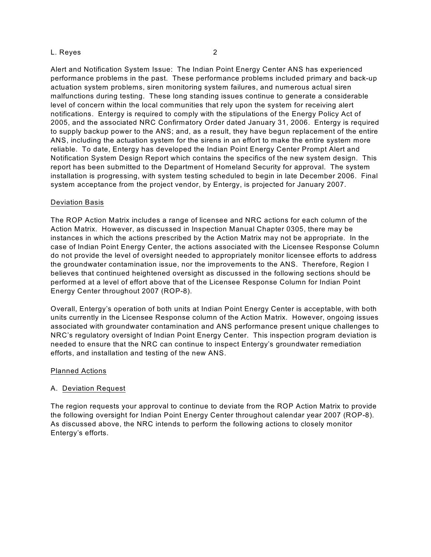Alert and Notification System Issue: The Indian Point Energy Center ANS has experienced performance problems in the past. These performance problems included primary and back-up actuation system problems, siren monitoring system failures, and numerous actual siren malfunctions during testing. These long standing issues continue to generate a considerable level of concern within the local communities that rely upon the system for receiving alert notifications. Entergy is required to comply with the stipulations of the Energy Policy Act of 2005, and the associated NRC Confirmatory Order dated January 31, 2006. Entergy is required to supply backup power to the ANS; and, as a result, they have begun replacement of the entire ANS, including the actuation system for the sirens in an effort to make the entire system more reliable. To date, Entergy has developed the Indian Point Energy Center Prompt Alert and Notification System Design Report which contains the specifics of the new system design. This report has been submitted to the Department of Homeland Security for approval. The system installation is progressing, with system testing scheduled to begin in late December 2006. Final system acceptance from the project vendor, by Entergy, is projected for January 2007.

## Deviation Basis

The ROP Action Matrix includes a range of licensee and NRC actions for each column of the Action Matrix. However, as discussed in Inspection Manual Chapter 0305, there may be instances in which the actions prescribed by the Action Matrix may not be appropriate. In the case of Indian Point Energy Center, the actions associated with the Licensee Response Column do not provide the level of oversight needed to appropriately monitor licensee efforts to address the groundwater contamination issue, nor the improvements to the ANS. Therefore, Region I believes that continued heightened oversight as discussed in the following sections should be performed at a level of effort above that of the Licensee Response Column for Indian Point Energy Center throughout 2007 (ROP-8).

Overall, Entergy's operation of both units at Indian Point Energy Center is acceptable, with both units currently in the Licensee Response column of the Action Matrix. However, ongoing issues associated with groundwater contamination and ANS performance present unique challenges to NRC's regulatory oversight of Indian Point Energy Center. This inspection program deviation is needed to ensure that the NRC can continue to inspect Entergy's groundwater remediation efforts, and installation and testing of the new ANS.

#### Planned Actions

# A. Deviation Request

The region requests your approval to continue to deviate from the ROP Action Matrix to provide the following oversight for Indian Point Energy Center throughout calendar year 2007 (ROP-8). As discussed above, the NRC intends to perform the following actions to closely monitor Entergy's efforts.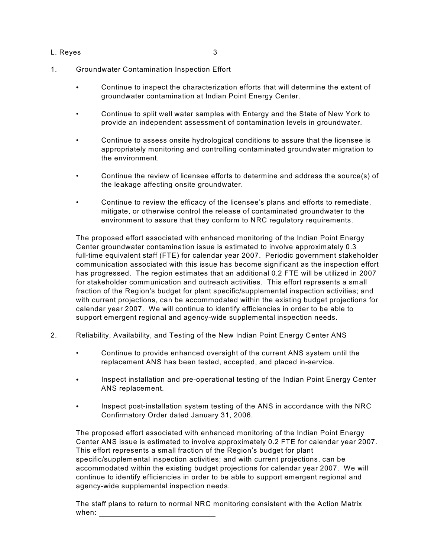- 1. Groundwater Contamination Inspection Effort
	- C Continue to inspect the characterization efforts that will determine the extent of groundwater contamination at Indian Point Energy Center.
	- Continue to split well water samples with Entergy and the State of New York to provide an independent assessment of contamination levels in groundwater.
	- Continue to assess onsite hydrological conditions to assure that the licensee is appropriately monitoring and controlling contaminated groundwater migration to the environment.
	- Continue the review of licensee efforts to determine and address the source(s) of the leakage affecting onsite groundwater.
	- Continue to review the efficacy of the licensee's plans and efforts to remediate, mitigate, or otherwise control the release of contaminated groundwater to the environment to assure that they conform to NRC regulatory requirements.

The proposed effort associated with enhanced monitoring of the Indian Point Energy Center groundwater contamination issue is estimated to involve approximately 0.3 full-time equivalent staff (FTE) for calendar year 2007. Periodic government stakeholder communication associated with this issue has become significant as the inspection effort has progressed. The region estimates that an additional 0.2 FTE will be utilized in 2007 for stakeholder communication and outreach activities. This effort represents a small fraction of the Region's budget for plant specific/supplemental inspection activities; and with current projections, can be accommodated within the existing budget projections for calendar year 2007. We will continue to identify efficiencies in order to be able to support emergent regional and agency-wide supplemental inspection needs.

- 2. Reliability, Availability, and Testing of the New Indian Point Energy Center ANS
	- Continue to provide enhanced oversight of the current ANS system until the replacement ANS has been tested, accepted, and placed in-service.
	- Inspect installation and pre-operational testing of the Indian Point Energy Center ANS replacement.
	- Inspect post-installation system testing of the ANS in accordance with the NRC Confirmatory Order dated January 31, 2006.

The proposed effort associated with enhanced monitoring of the Indian Point Energy Center ANS issue is estimated to involve approximately 0.2 FTE for calendar year 2007. This effort represents a small fraction of the Region's budget for plant specific/supplemental inspection activities; and with current projections, can be accommodated within the existing budget projections for calendar year 2007. We will continue to identify efficiencies in order to be able to support emergent regional and agency-wide supplemental inspection needs.

The staff plans to return to normal NRC monitoring consistent with the Action Matrix when: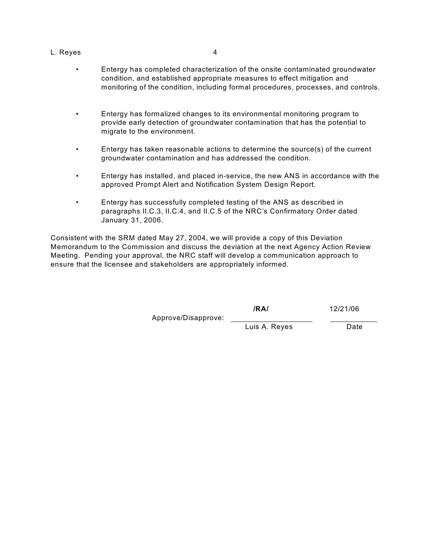- Entergy has completed characterization of the onsite contaminated groundwater condition, and established appropriate measures to effect mitigation and monitoring of the condition, including formal procedures, processes, and controls.
- Entergy has formalized changes to its environmental monitoring program to provide early detection of groundwater contamination that has the potential to migrate to the environment.
- Entergy has taken reasonable actions to determine the source(s) of the current groundwater contamination and has addressed the condition.
- Entergy has installed, and placed in-service, the new ANS in accordance with the approved Prompt Alert and Notification System Design Report.
- Entergy has successfully completed testing of the ANS as described in paragraphs II.C.3, II.C.4, and II.C.5 of the NRC's Confirmatory Order dated January 31, 2006.

Consistent with the SRM dated May 27, 2004, we will provide a copy of this Deviation Memorandum to the Commission and discuss the deviation at the next Agency Action Review Meeting. Pending your approval, the NRC staff will develop a communication approach to ensure that the licensee and stakeholders are appropriately informed.

> **/RA/** 12/21/06 Approve/Disapprove: Luis A. Reyes Date